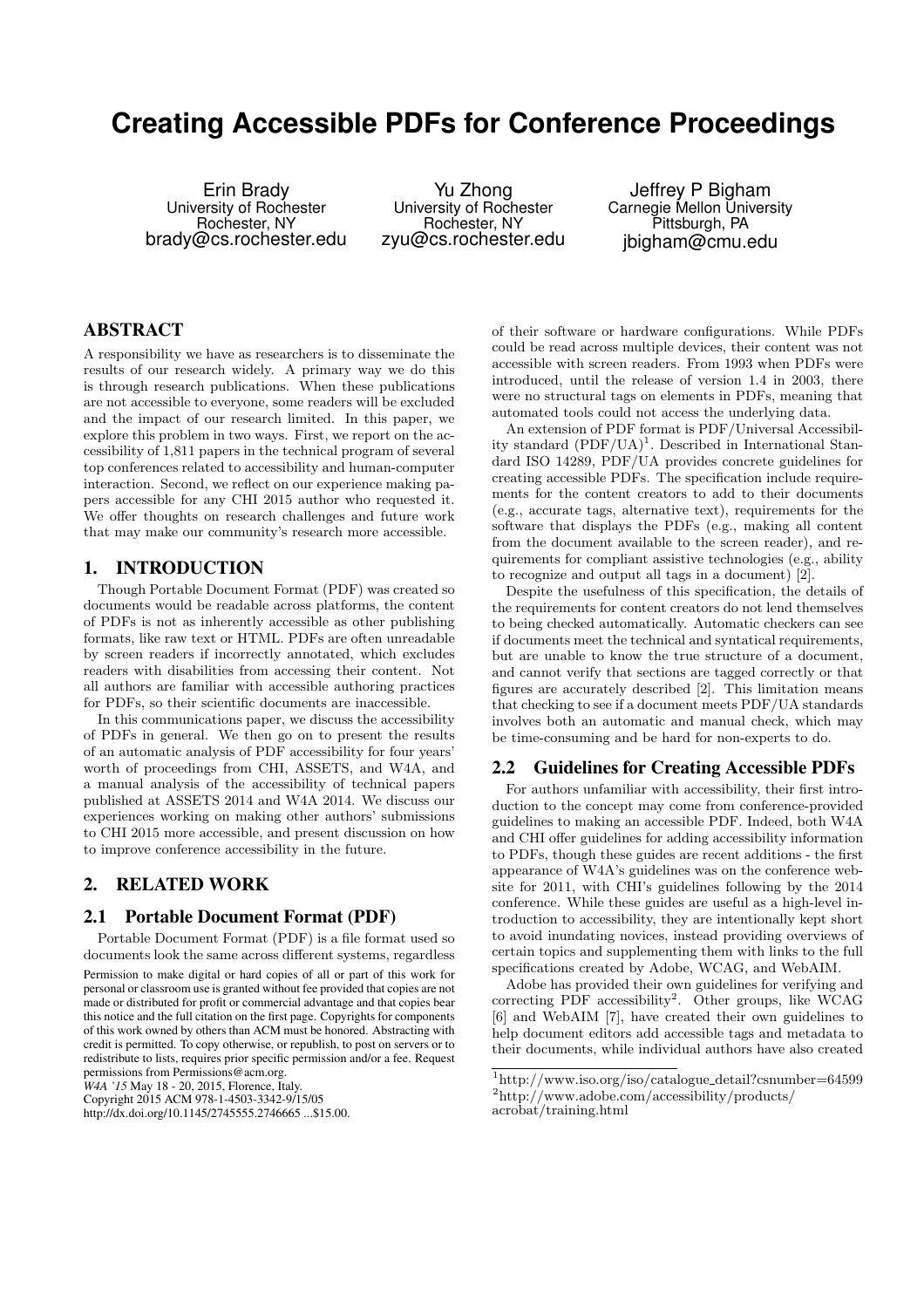# **Creating Accessible PDFs for Conference Proceedings**

Erin Brady University of Rochester Rochester, NY brady@cs.rochester.edu

Yu Zhong University of Rochester Rochester, NY zyu@cs.rochester.edu

Jeffrey P Bigham Carnegie Mellon University Pittsburgh, PA jbigham@cmu.edu

## ABSTRACT

A responsibility we have as researchers is to disseminate the results of our research widely. A primary way we do this is through research publications. When these publications are not accessible to everyone, some readers will be excluded and the impact of our research limited. In this paper, we explore this problem in two ways. First, we report on the accessibility of 1,811 papers in the technical program of several top conferences related to accessibility and human-computer interaction. Second, we reflect on our experience making papers accessible for any CHI 2015 author who requested it. We offer thoughts on research challenges and future work that may make our community's research more accessible.

## 1. INTRODUCTION

Though Portable Document Format (PDF) was created so documents would be readable across platforms, the content of PDFs is not as inherently accessible as other publishing formats, like raw text or HTML. PDFs are often unreadable by screen readers if incorrectly annotated, which excludes readers with disabilities from accessing their content. Not all authors are familiar with accessible authoring practices for PDFs, so their scientific documents are inaccessible.

In this communications paper, we discuss the accessibility of PDFs in general. We then go on to present the results of an automatic analysis of PDF accessibility for four years' worth of proceedings from CHI, ASSETS, and W4A, and a manual analysis of the accessibility of technical papers published at ASSETS 2014 and W4A 2014. We discuss our experiences working on making other authors' submissions to CHI 2015 more accessible, and present discussion on how to improve conference accessibility in the future.

## 2. RELATED WORK

#### 2.1 Portable Document Format (PDF)

Portable Document Format (PDF) is a file format used so documents look the same across different systems, regardless Permission to make digital or hard copies of all or part of this work for personal or classroom use is granted without fee provided that copies are not made or distributed for profit or commercial advantage and that copies bear this notice and the full citation on the first page. Copyrights for components of this work owned by others than ACM must be honored. Abstracting with credit is permitted. To copy otherwise, or republish, to post on servers or to redistribute to lists, requires prior specific permission and/or a fee. Request permissions from Permissions@acm.org.

*W4A '15* May 18 - 20, 2015, Florence, Italy.

of their software or hardware configurations. While PDFs could be read across multiple devices, their content was not accessible with screen readers. From 1993 when PDFs were introduced, until the release of version 1.4 in 2003, there were no structural tags on elements in PDFs, meaning that automated tools could not access the underlying data.

An extension of PDF format is PDF/Universal Accessibility standard  $(PDF/UA)^1$ . Described in International Standard ISO 14289, PDF/UA provides concrete guidelines for creating accessible PDFs. The specification include requirements for the content creators to add to their documents (e.g., accurate tags, alternative text), requirements for the software that displays the PDFs (e.g., making all content from the document available to the screen reader), and requirements for compliant assistive technologies (e.g., ability to recognize and output all tags in a document) [2].

Despite the usefulness of this specification, the details of the requirements for content creators do not lend themselves to being checked automatically. Automatic checkers can see if documents meet the technical and syntatical requirements, but are unable to know the true structure of a document, and cannot verify that sections are tagged correctly or that figures are accurately described [2]. This limitation means that checking to see if a document meets PDF/UA standards involves both an automatic and manual check, which may be time-consuming and be hard for non-experts to do.

#### 2.2 Guidelines for Creating Accessible PDFs

For authors unfamiliar with accessibility, their first introduction to the concept may come from conference-provided guidelines to making an accessible PDF. Indeed, both W4A and CHI offer guidelines for adding accessibility information to PDFs, though these guides are recent additions - the first appearance of W4A's guidelines was on the conference website for 2011, with CHI's guidelines following by the 2014 conference. While these guides are useful as a high-level introduction to accessibility, they are intentionally kept short to avoid inundating novices, instead providing overviews of certain topics and supplementing them with links to the full specifications created by Adobe, WCAG, and WebAIM.

Adobe has provided their own guidelines for verifying and correcting PDF accessibility<sup>2</sup>. Other groups, like WCAG [6] and WebAIM [7], have created their own guidelines to help document editors add accessible tags and metadata to their documents, while individual authors have also created

Copyright 2015 ACM 978-1-4503-3342-9/15/05

http://dx.doi.org/10.1145/2745555.2746665 ...\$15.00.

 $1<sup>1</sup><http://www.iso.org/iso/catalogue_detail?csnumber=64599>$ acrobat/training.html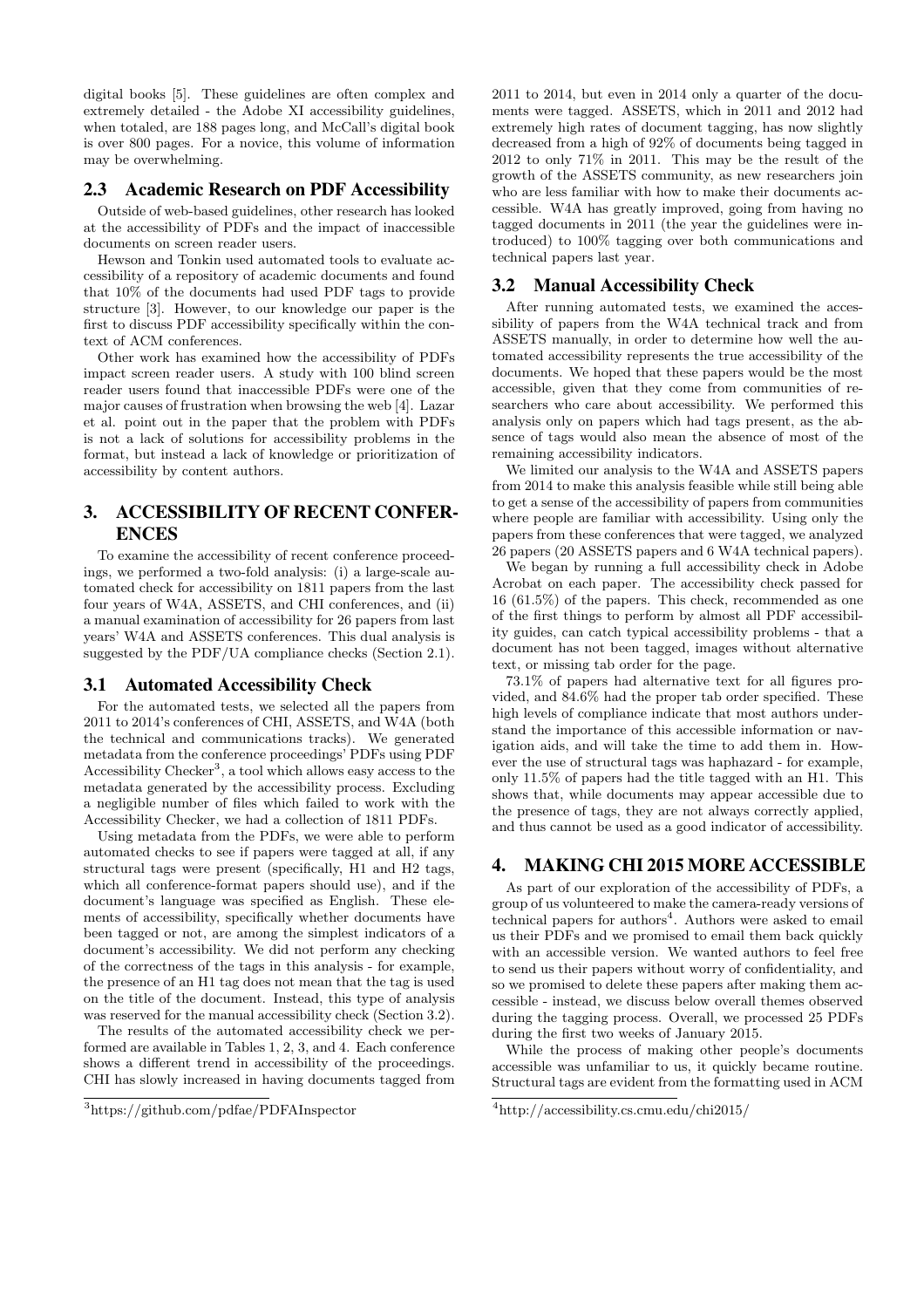digital books [5]. These guidelines are often complex and extremely detailed - the Adobe XI accessibility guidelines, when totaled, are 188 pages long, and McCall's digital book is over 800 pages. For a novice, this volume of information may be overwhelming.

## 2.3 Academic Research on PDF Accessibility

Outside of web-based guidelines, other research has looked at the accessibility of PDFs and the impact of inaccessible documents on screen reader users.

Hewson and Tonkin used automated tools to evaluate accessibility of a repository of academic documents and found that 10% of the documents had used PDF tags to provide structure [3]. However, to our knowledge our paper is the first to discuss PDF accessibility specifically within the context of ACM conferences.

Other work has examined how the accessibility of PDFs impact screen reader users. A study with 100 blind screen reader users found that inaccessible PDFs were one of the major causes of frustration when browsing the web [4]. Lazar et al. point out in the paper that the problem with PDFs is not a lack of solutions for accessibility problems in the format, but instead a lack of knowledge or prioritization of accessibility by content authors.

# 3. ACCESSIBILITY OF RECENT CONFER-ENCES

To examine the accessibility of recent conference proceedings, we performed a two-fold analysis: (i) a large-scale automated check for accessibility on 1811 papers from the last four years of W4A, ASSETS, and CHI conferences, and (ii) a manual examination of accessibility for 26 papers from last years' W4A and ASSETS conferences. This dual analysis is suggested by the PDF/UA compliance checks (Section 2.1).

## 3.1 Automated Accessibility Check

For the automated tests, we selected all the papers from 2011 to 2014's conferences of CHI, ASSETS, and W4A (both the technical and communications tracks). We generated metadata from the conference proceedings' PDFs using PDF Accessibility Checker<sup>3</sup>, a tool which allows easy access to the metadata generated by the accessibility process. Excluding a negligible number of files which failed to work with the Accessibility Checker, we had a collection of 1811 PDFs.

Using metadata from the PDFs, we were able to perform automated checks to see if papers were tagged at all, if any structural tags were present (specifically, H1 and H2 tags, which all conference-format papers should use), and if the document's language was specified as English. These elements of accessibility, specifically whether documents have been tagged or not, are among the simplest indicators of a document's accessibility. We did not perform any checking of the correctness of the tags in this analysis - for example, the presence of an H1 tag does not mean that the tag is used on the title of the document. Instead, this type of analysis was reserved for the manual accessibility check (Section 3.2).

The results of the automated accessibility check we performed are available in Tables 1, 2, 3, and 4. Each conference shows a different trend in accessibility of the proceedings. CHI has slowly increased in having documents tagged from

2011 to 2014, but even in 2014 only a quarter of the documents were tagged. ASSETS, which in 2011 and 2012 had extremely high rates of document tagging, has now slightly decreased from a high of 92% of documents being tagged in 2012 to only 71% in 2011. This may be the result of the growth of the ASSETS community, as new researchers join who are less familiar with how to make their documents accessible. W4A has greatly improved, going from having no tagged documents in 2011 (the year the guidelines were introduced) to 100% tagging over both communications and technical papers last year.

## 3.2 Manual Accessibility Check

After running automated tests, we examined the accessibility of papers from the W4A technical track and from ASSETS manually, in order to determine how well the automated accessibility represents the true accessibility of the documents. We hoped that these papers would be the most accessible, given that they come from communities of researchers who care about accessibility. We performed this analysis only on papers which had tags present, as the absence of tags would also mean the absence of most of the remaining accessibility indicators.

We limited our analysis to the W4A and ASSETS papers from 2014 to make this analysis feasible while still being able to get a sense of the accessibility of papers from communities where people are familiar with accessibility. Using only the papers from these conferences that were tagged, we analyzed 26 papers (20 ASSETS papers and 6 W4A technical papers).

We began by running a full accessibility check in Adobe Acrobat on each paper. The accessibility check passed for 16 (61.5%) of the papers. This check, recommended as one of the first things to perform by almost all PDF accessibility guides, can catch typical accessibility problems - that a document has not been tagged, images without alternative text, or missing tab order for the page.

73.1% of papers had alternative text for all figures provided, and 84.6% had the proper tab order specified. These high levels of compliance indicate that most authors understand the importance of this accessible information or navigation aids, and will take the time to add them in. However the use of structural tags was haphazard - for example, only 11.5% of papers had the title tagged with an H1. This shows that, while documents may appear accessible due to the presence of tags, they are not always correctly applied, and thus cannot be used as a good indicator of accessibility.

## 4. MAKING CHI 2015 MORE ACCESSIBLE

As part of our exploration of the accessibility of PDFs, a group of us volunteered to make the camera-ready versions of technical papers for authors<sup>4</sup>. Authors were asked to email us their PDFs and we promised to email them back quickly with an accessible version. We wanted authors to feel free to send us their papers without worry of confidentiality, and so we promised to delete these papers after making them accessible - instead, we discuss below overall themes observed during the tagging process. Overall, we processed 25 PDFs during the first two weeks of January 2015.

While the process of making other people's documents accessible was unfamiliar to us, it quickly became routine. Structural tags are evident from the formatting used in ACM

<sup>3</sup>https://github.com/pdfae/PDFAInspector

<sup>4</sup>http://accessibility.cs.cmu.edu/chi2015/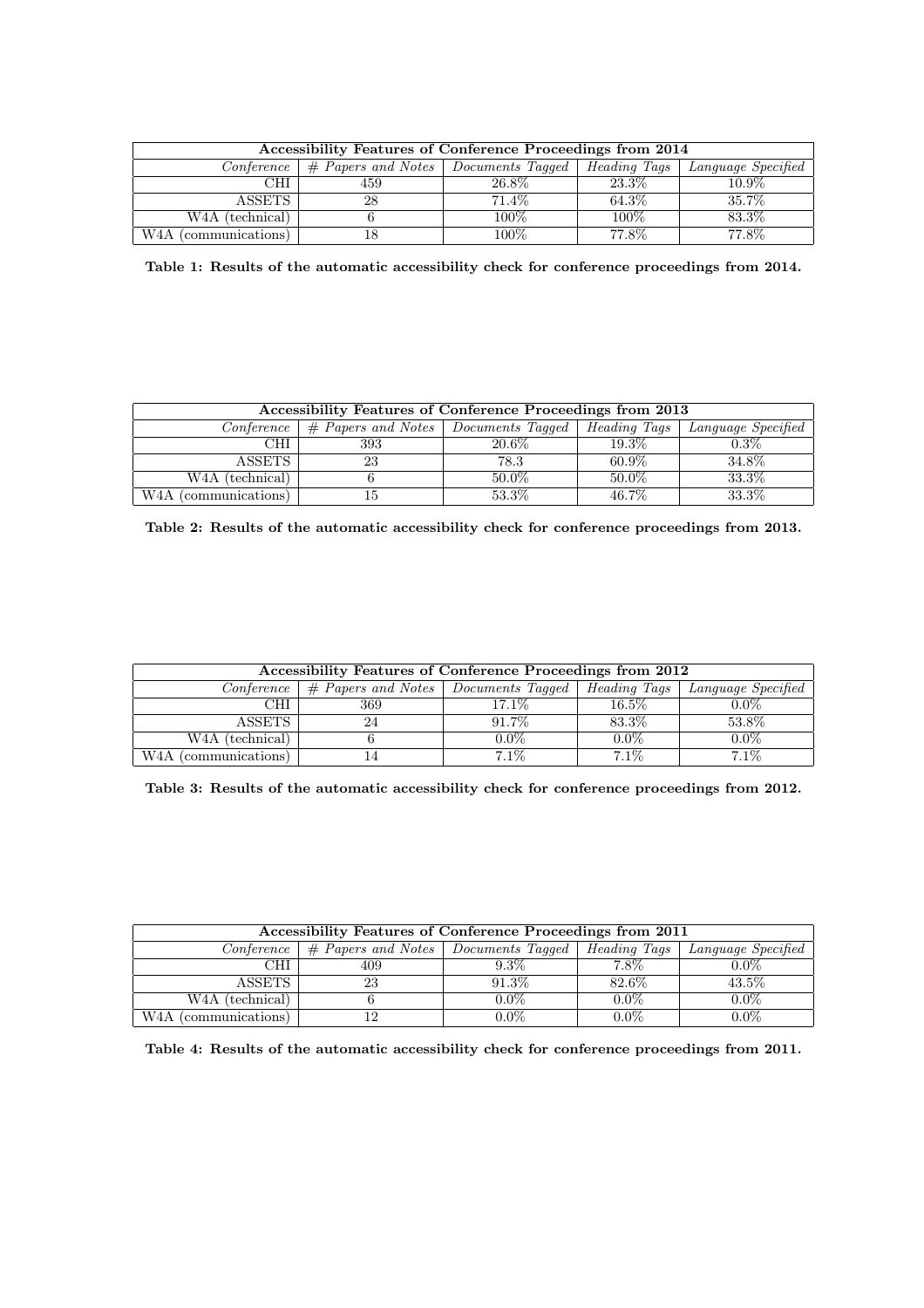| Accessibility Features of Conference Proceedings from 2014 |                                          |          |              |                    |
|------------------------------------------------------------|------------------------------------------|----------|--------------|--------------------|
| Conference                                                 | $\#$ Papers and Notes   Documents Tagged |          | Heading Tags | Language Specified |
| CHI                                                        | 459                                      | $26.8\%$ | 23.3%        | $10.9\%$           |
| <b>ASSETS</b>                                              | 28                                       | 71.4\%   | 64.3%        | 35.7%              |
| W <sub>4</sub> A (technical)                               |                                          | $100\%$  | $100\%$      | 83.3%              |
| W4A<br>(communications)                                    | 18                                       | $100\%$  | 77.8%        | 77.8%              |

Table 1: Results of the automatic accessibility check for conference proceedings from 2014.

| Accessibility Features of Conference Proceedings from 2013 |                                          |          |              |                    |
|------------------------------------------------------------|------------------------------------------|----------|--------------|--------------------|
| <i>Conference</i>                                          | $\#$ Papers and Notes   Documents Tagged |          | Heading Tags | Language Specified |
| CHI                                                        | 393                                      | 20.6%    | 19.3%        | $0.3\%$            |
| <b>ASSETS</b>                                              | 23                                       | 78.3     | $60.9\%$     | 34.8%              |
| W <sub>4</sub> A (technical)                               |                                          | $50.0\%$ | $50.0\%$     | 33.3%              |
| W <sub>4</sub> A (communications)                          | 15                                       | 53.3%    | 46.7%        | 33.3%              |

Table 2: Results of the automatic accessibility check for conference proceedings from 2013.

| Accessibility Features of Conference Proceedings from 2012 |                                                      |         |                     |                    |
|------------------------------------------------------------|------------------------------------------------------|---------|---------------------|--------------------|
| Conference                                                 | $\vert \#$ Papers and Notes $\vert$ Documents Tagged |         | <i>Heading Tags</i> | Language Specified |
| CHI                                                        | 369                                                  | 17.1%   | $16.5\%$            | $0.0\%$            |
| <b>ASSETS</b>                                              | 24                                                   | 91.7%   | 83.3%               | 53.8%              |
| W <sub>4</sub> A (technical)                               |                                                      | $0.0\%$ | $0.0\%$             | $0.0\%$            |
| W <sub>4</sub> A (communications)                          | 14                                                   | $7.1\%$ | $7.1\%$             | 7.1%               |

Table 3: Results of the automatic accessibility check for conference proceedings from 2012.

| Accessibility Features of Conference Proceedings from 2011 |                                                      |         |                     |                    |
|------------------------------------------------------------|------------------------------------------------------|---------|---------------------|--------------------|
| Conference                                                 | $\vert \#$ Papers and Notes $\vert$ Documents Tagged |         | <i>Heading Tags</i> | Language Specified |
| CHI                                                        | 409                                                  | $9.3\%$ | $7.8\%$             | $0.0\%$            |
| ASSETS                                                     | 23                                                   | 91.3%   | 82.6%               | 43.5%              |
| W <sub>4</sub> A (technical)                               |                                                      | $0.0\%$ | $0.0\%$             | $0.0\%$            |
| W <sub>4</sub> A (communications)                          | 12                                                   | 0.0%    | $0.0\%$             | $0.0\%$            |

Table 4: Results of the automatic accessibility check for conference proceedings from 2011.